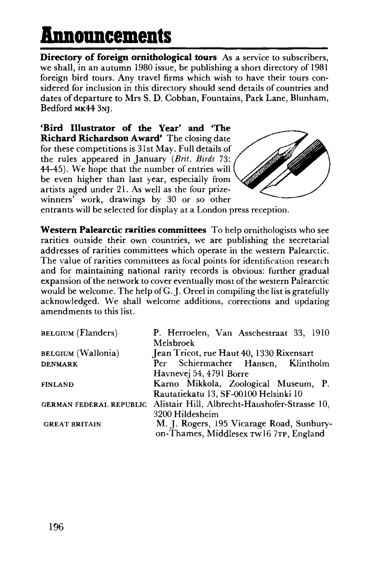## **Announcements**

**Directory of foreign ornithological tours** As a service to subscribers, we shall, in an autumn 1980 issue, be publishing a short directory of 1981 foreign bird tours. Any travel firms which wish to have their tours considered for inclusion in this directory should send details of countries and dates of departure to Mrs S. D. Cobban, Fountains, Park Lane, Blunham, Bedford MK44 3NJ.

**'Bird Illustrator of the Year' and 'The Richard Richardson Award'** The closing date for these competitions is 31st May. Full details of the rules appeared in January *(Brit. Birds* 73: 44-45). We hope that the number of entries will be even higher than last year, especially from artists aged under 21. As well as the four prizewinners' work, drawings by 30 or so other



entrants will be selected for display at a London press reception.

**Western Palearctic rarities committees** To help ornithologists who see rarities outside their own countries, we are publishing the secretarial addresses of rarities committees which operate in the western Palearctic. The value of rarities committees as focal points for identification research and for maintaining national rarity records is obvious: further gradual expansion of the network to cover eventually most of the western Palearctic would be welcome. The help of G.J. Oreel in compiling the list is gratefully acknowledged. We shall welcome additions, corrections and updating amendments to this list.

| <b>BELGIUM</b> ( <b>F</b> landers) | P. Herroelen, Van Asschestraat 33, 1910       |
|------------------------------------|-----------------------------------------------|
|                                    | Melsbroek                                     |
| <b>BELGIUM</b> (Wallonia)          | Jean Tricot, rue Haut 40, 1330 Rixensart      |
| <b>DENMARK</b>                     | Per Schiermacher Hansen, Klintholm            |
|                                    | Havnevej 54, 4791 Borre                       |
| <b>FINLAND</b>                     | Karno Mikkola, Zoological Museum, P.          |
|                                    | Rautatiekatu 13, SF-00100 Helsinki 10         |
| GERMAN FEDERAL REPUBLIC            | Alistair Hill, Albrecht-Haushofer-Strasse 10, |
|                                    | 3200 Hildesheim                               |
| <b>GREAT BRITAIN</b>               | M. J. Rogers, 195 Vicarage Road, Sunbury-     |
|                                    | on-Thames, Middlesex TW16 7TP, England        |
|                                    |                                               |